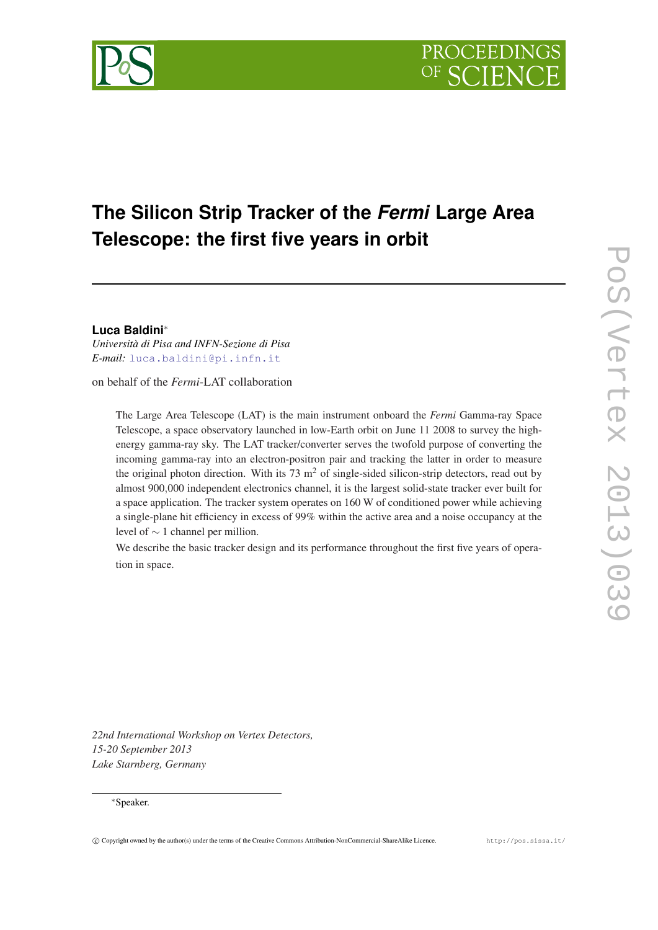



# **Luca Baldini**<sup>∗</sup>

*Università di Pisa and INFN-Sezione di Pisa E-mail:* [luca.baldini@pi.infn.it](mailto:luca.baldini@pi.infn.it)

on behalf of the *Fermi*-LAT collaboration

The Large Area Telescope (LAT) is the main instrument onboard the *Fermi* Gamma-ray Space Telescope, a space observatory launched in low-Earth orbit on June 11 2008 to survey the highenergy gamma-ray sky. The LAT tracker/converter serves the twofold purpose of converting the incoming gamma-ray into an electron-positron pair and tracking the latter in order to measure the original photon direction. With its 73  $m<sup>2</sup>$  of single-sided silicon-strip detectors, read out by almost 900,000 independent electronics channel, it is the largest solid-state tracker ever built for a space application. The tracker system operates on 160 W of conditioned power while achieving a single-plane hit efficiency in excess of 99% within the active area and a noise occupancy at the level of ∼ 1 channel per million.

We describe the basic tracker design and its performance throughout the first five years of operation in space.

*22nd International Workshop on Vertex Detectors, 15-20 September 2013 Lake Starnberg, Germany*

## <sup>∗</sup>Speaker.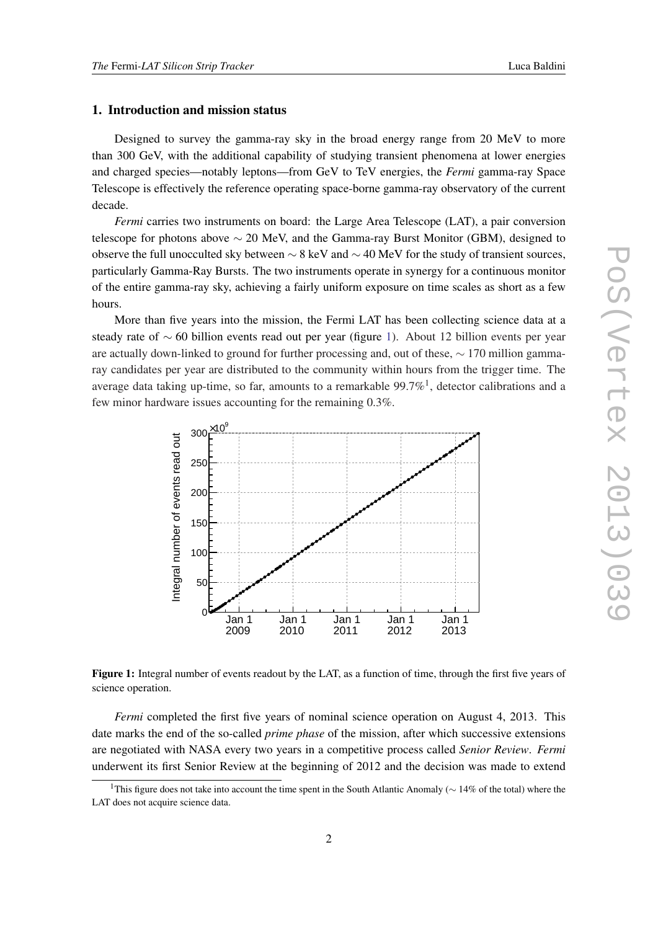# 1. Introduction and mission status

Designed to survey the gamma-ray sky in the broad energy range from 20 MeV to more than 300 GeV, with the additional capability of studying transient phenomena at lower energies and charged species—notably leptons—from GeV to TeV energies, the *Fermi* gamma-ray Space Telescope is effectively the reference operating space-borne gamma-ray observatory of the current decade.

*Fermi* carries two instruments on board: the Large Area Telescope (LAT), a pair conversion telescope for photons above  $\sim$  20 MeV, and the Gamma-ray Burst Monitor (GBM), designed to observe the full unocculted sky between  $\sim$  8 keV and  $\sim$  40 MeV for the study of transient sources, particularly Gamma-Ray Bursts. The two instruments operate in synergy for a continuous monitor of the entire gamma-ray sky, achieving a fairly uniform exposure on time scales as short as a few hours.

More than five years into the mission, the Fermi LAT has been collecting science data at a steady rate of ∼ 60 billion events read out per year (figure 1). About 12 billion events per year are actually down-linked to ground for further processing and, out of these, ∼ 170 million gammaray candidates per year are distributed to the community within hours from the trigger time. The average data taking up-time, so far, amounts to a remarkable  $99.7\%$ <sup>1</sup>, detector calibrations and a few minor hardware issues accounting for the remaining 0.3%.



Figure 1: Integral number of events readout by the LAT, as a function of time, through the first five years of science operation.

*Fermi* completed the first five years of nominal science operation on August 4, 2013. This date marks the end of the so-called *prime phase* of the mission, after which successive extensions are negotiated with NASA every two years in a competitive process called *Senior Review*. *Fermi* underwent its first Senior Review at the beginning of 2012 and the decision was made to extend

<sup>&</sup>lt;sup>1</sup>This figure does not take into account the time spent in the South Atlantic Anomaly ( $∼ 14\%$  of the total) where the LAT does not acquire science data.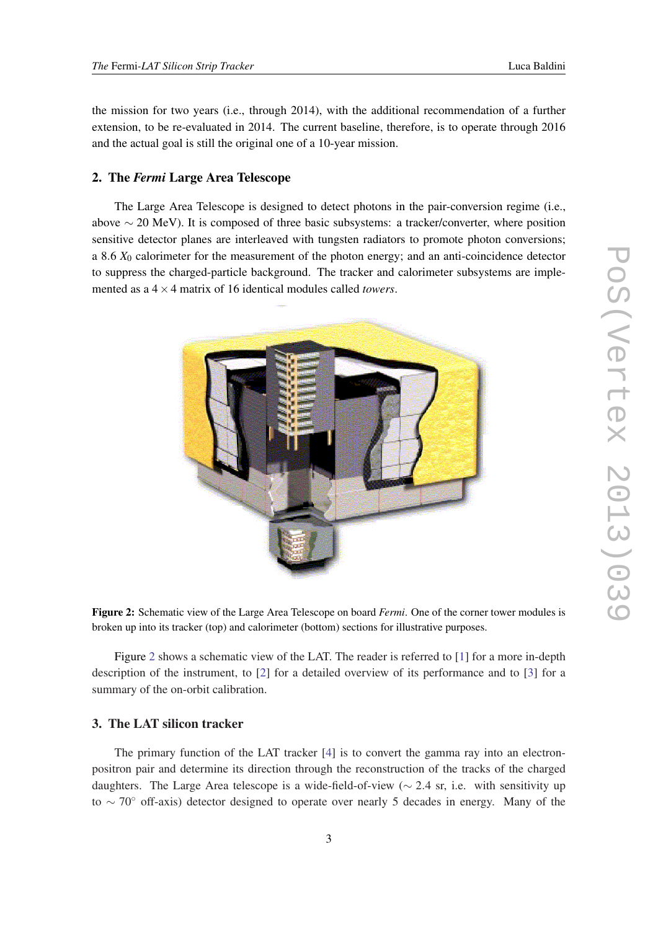the mission for two years (i.e., through 2014), with the additional recommendation of a further extension, to be re-evaluated in 2014. The current baseline, therefore, is to operate through 2016 and the actual goal is still the original one of a 10-year mission.

# 2. The *Fermi* Large Area Telescope

The Large Area Telescope is designed to detect photons in the pair-conversion regime (i.e., above  $\sim$  20 MeV). It is composed of three basic subsystems: a tracker/converter, where position sensitive detector planes are interleaved with tungsten radiators to promote photon conversions; a 8.6 *X*<sup>0</sup> calorimeter for the measurement of the photon energy; and an anti-coincidence detector to suppress the charged-particle background. The tracker and calorimeter subsystems are implemented as a 4×4 matrix of 16 identical modules called *towers*.



Figure 2: Schematic view of the Large Area Telescope on board *Fermi*. One of the corner tower modules is broken up into its tracker (top) and calorimeter (bottom) sections for illustrative purposes.

Figure 2 shows a schematic view of the LAT. The reader is referred to [\[1\]](#page-9-0) for a more in-depth description of the instrument, to [\[2\]](#page-9-0) for a detailed overview of its performance and to [[3](#page-9-0)] for a summary of the on-orbit calibration.

# 3. The LAT silicon tracker

The primary function of the LAT tracker [[4](#page-9-0)] is to convert the gamma ray into an electronpositron pair and determine its direction through the reconstruction of the tracks of the charged daughters. The Large Area telescope is a wide-field-of-view ( $\sim$  2.4 sr, i.e. with sensitivity up to ∼ 70◦ off-axis) detector designed to operate over nearly 5 decades in energy. Many of the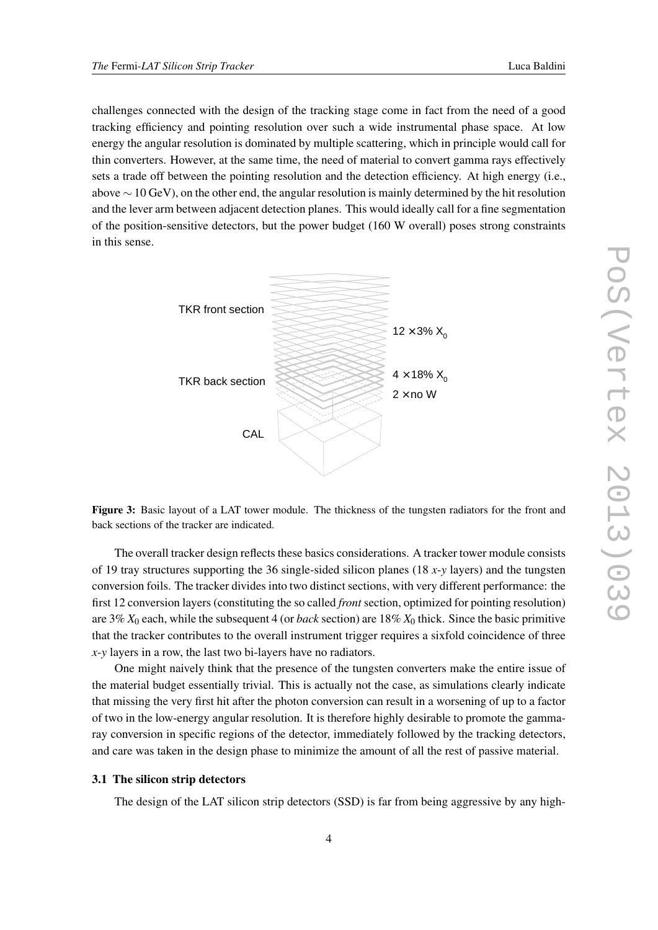challenges connected with the design of the tracking stage come in fact from the need of a good tracking efficiency and pointing resolution over such a wide instrumental phase space. At low energy the angular resolution is dominated by multiple scattering, which in principle would call for thin converters. However, at the same time, the need of material to convert gamma rays effectively sets a trade off between the pointing resolution and the detection efficiency. At high energy (i.e., above  $\sim$  10 GeV), on the other end, the angular resolution is mainly determined by the hit resolution and the lever arm between adjacent detection planes. This would ideally call for a fine segmentation of the position-sensitive detectors, but the power budget (160 W overall) poses strong constraints in this sense.



Figure 3: Basic layout of a LAT tower module. The thickness of the tungsten radiators for the front and back sections of the tracker are indicated.

The overall tracker design reflects these basics considerations. A tracker tower module consists of 19 tray structures supporting the 36 single-sided silicon planes (18 *x*-*y* layers) and the tungsten conversion foils. The tracker divides into two distinct sections, with very different performance: the first 12 conversion layers (constituting the so called *front* section, optimized for pointing resolution) are 3% *X*<sup>0</sup> each, while the subsequent 4 (or *back* section) are 18% *X*<sup>0</sup> thick. Since the basic primitive that the tracker contributes to the overall instrument trigger requires a sixfold coincidence of three *x*-*y* layers in a row, the last two bi-layers have no radiators.

One might naively think that the presence of the tungsten converters make the entire issue of the material budget essentially trivial. This is actually not the case, as simulations clearly indicate that missing the very first hit after the photon conversion can result in a worsening of up to a factor of two in the low-energy angular resolution. It is therefore highly desirable to promote the gammaray conversion in specific regions of the detector, immediately followed by the tracking detectors, and care was taken in the design phase to minimize the amount of all the rest of passive material.

# 3.1 The silicon strip detectors

The design of the LAT silicon strip detectors (SSD) is far from being aggressive by any high-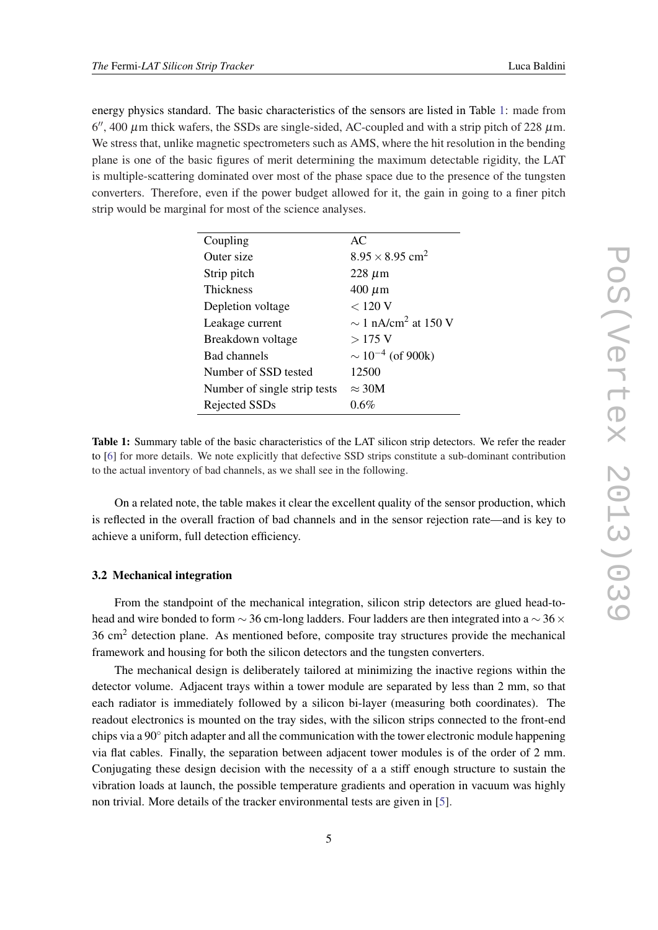energy physics standard. The basic characteristics of the sensors are listed in Table 1: made from  $6''$ , 400  $\mu$ m thick wafers, the SSDs are single-sided, AC-coupled and with a strip pitch of 228  $\mu$ m. We stress that, unlike magnetic spectrometers such as AMS, where the hit resolution in the bending plane is one of the basic figures of merit determining the maximum detectable rigidity, the LAT is multiple-scattering dominated over most of the phase space due to the presence of the tungsten converters. Therefore, even if the power budget allowed for it, the gain in going to a finer pitch strip would be marginal for most of the science analyses.

| Coupling                     | AC                                   |
|------------------------------|--------------------------------------|
| Outer size                   | $8.95 \times 8.95$ cm <sup>2</sup>   |
| Strip pitch                  | $228 \mu m$                          |
| <b>Thickness</b>             | $400 \mu m$                          |
| Depletion voltage            | < 120 V                              |
| Leakage current              | $\sim$ 1 nA/cm <sup>2</sup> at 150 V |
| Breakdown voltage            | $>175$ V                             |
| <b>Bad channels</b>          | $\sim 10^{-4}$ (of 900k)             |
| Number of SSD tested         | 12500                                |
| Number of single strip tests | $\approx 30M$                        |
| Rejected SSDs                | $0.6\%$                              |

Table 1: Summary table of the basic characteristics of the LAT silicon strip detectors. We refer the reader to [\[6](#page-9-0)] for more details. We note explicitly that defective SSD strips constitute a sub-dominant contribution to the actual inventory of bad channels, as we shall see in the following.

On a related note, the table makes it clear the excellent quality of the sensor production, which is reflected in the overall fraction of bad channels and in the sensor rejection rate—and is key to achieve a uniform, full detection efficiency.

#### 3.2 Mechanical integration

From the standpoint of the mechanical integration, silicon strip detectors are glued head-tohead and wire bonded to form  $\sim$  36 cm-long ladders. Four ladders are then integrated into a  $\sim$  36  $\times$ 36 cm<sup>2</sup> detection plane. As mentioned before, composite tray structures provide the mechanical framework and housing for both the silicon detectors and the tungsten converters.

The mechanical design is deliberately tailored at minimizing the inactive regions within the detector volume. Adjacent trays within a tower module are separated by less than 2 mm, so that each radiator is immediately followed by a silicon bi-layer (measuring both coordinates). The readout electronics is mounted on the tray sides, with the silicon strips connected to the front-end chips via a  $90°$  pitch adapter and all the communication with the tower electronic module happening via flat cables. Finally, the separation between adjacent tower modules is of the order of 2 mm. Conjugating these design decision with the necessity of a a stiff enough structure to sustain the vibration loads at launch, the possible temperature gradients and operation in vacuum was highly non trivial. More details of the tracker environmental tests are given in [[5\]](#page-9-0).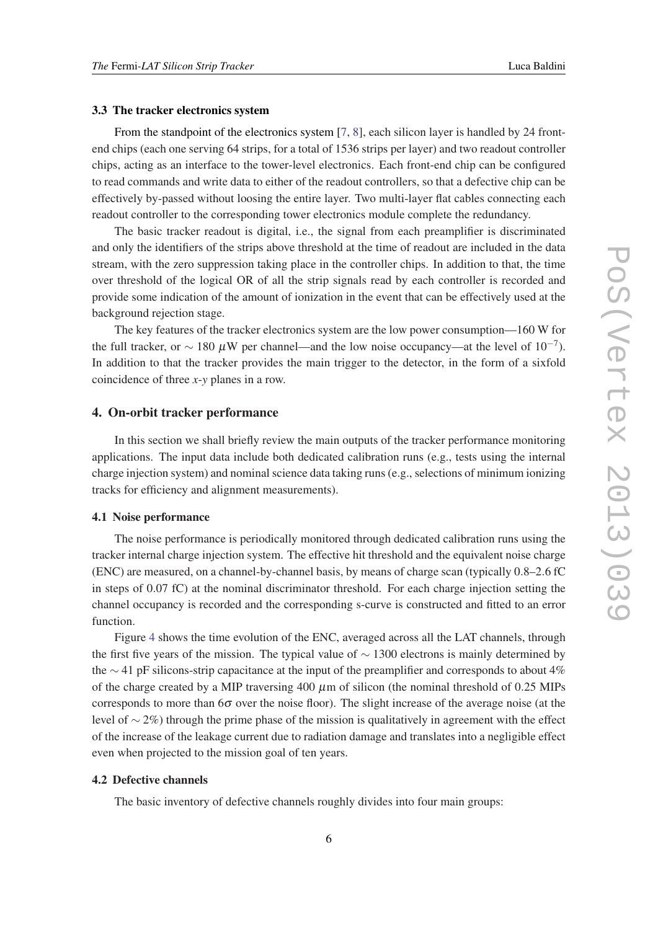#### 3.3 The tracker electronics system

From the standpoint of the electronics system [\[7,](#page-9-0) [8\]](#page-9-0), each silicon layer is handled by 24 frontend chips (each one serving 64 strips, for a total of 1536 strips per layer) and two readout controller chips, acting as an interface to the tower-level electronics. Each front-end chip can be configured to read commands and write data to either of the readout controllers, so that a defective chip can be effectively by-passed without loosing the entire layer. Two multi-layer flat cables connecting each readout controller to the corresponding tower electronics module complete the redundancy.

The basic tracker readout is digital, i.e., the signal from each preamplifier is discriminated and only the identifiers of the strips above threshold at the time of readout are included in the data stream, with the zero suppression taking place in the controller chips. In addition to that, the time over threshold of the logical OR of all the strip signals read by each controller is recorded and provide some indication of the amount of ionization in the event that can be effectively used at the background rejection stage.

The key features of the tracker electronics system are the low power consumption—160 W for the full tracker, or  $\sim 180 \mu$ W per channel—and the low noise occupancy—at the level of  $10^{-7}$ ). In addition to that the tracker provides the main trigger to the detector, in the form of a sixfold coincidence of three *x*-*y* planes in a row.

#### 4. On-orbit tracker performance

In this section we shall briefly review the main outputs of the tracker performance monitoring applications. The input data include both dedicated calibration runs (e.g., tests using the internal charge injection system) and nominal science data taking runs (e.g., selections of minimum ionizing tracks for efficiency and alignment measurements).

#### 4.1 Noise performance

The noise performance is periodically monitored through dedicated calibration runs using the tracker internal charge injection system. The effective hit threshold and the equivalent noise charge (ENC) are measured, on a channel-by-channel basis, by means of charge scan (typically 0.8–2.6 fC in steps of 0.07 fC) at the nominal discriminator threshold. For each charge injection setting the channel occupancy is recorded and the corresponding s-curve is constructed and fitted to an error function.

Figure [4](#page-6-0) shows the time evolution of the ENC, averaged across all the LAT channels, through the first five years of the mission. The typical value of  $\sim$  1300 electrons is mainly determined by the ∼ 41 pF silicons-strip capacitance at the input of the preamplifier and corresponds to about 4% of the charge created by a MIP traversing 400  $\mu$ m of silicon (the nominal threshold of 0.25 MIPs corresponds to more than  $6\sigma$  over the noise floor). The slight increase of the average noise (at the level of ∼ 2%) through the prime phase of the mission is qualitatively in agreement with the effect of the increase of the leakage current due to radiation damage and translates into a negligible effect even when projected to the mission goal of ten years.

### 4.2 Defective channels

The basic inventory of defective channels roughly divides into four main groups: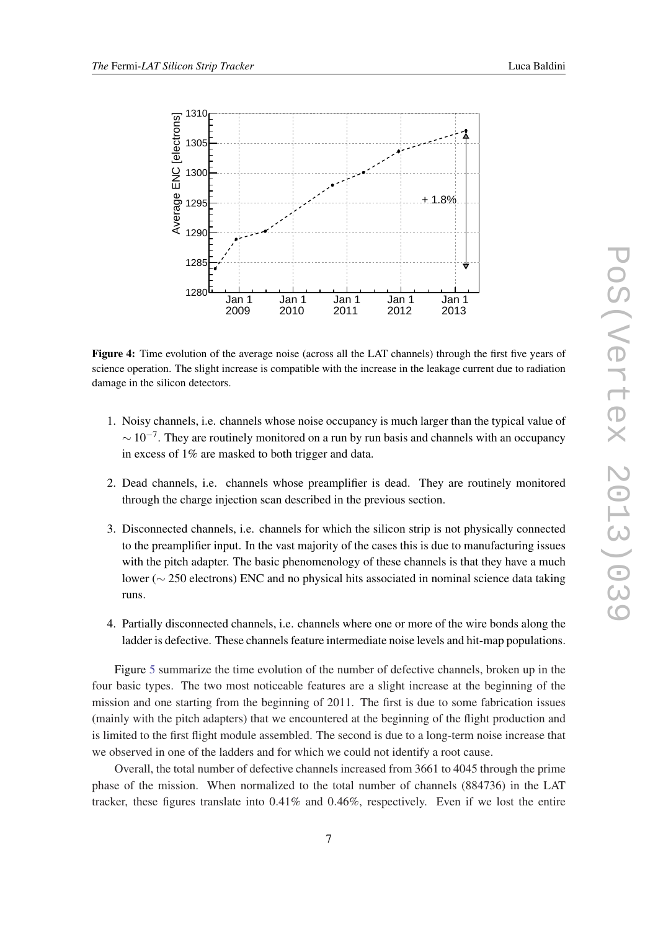

<span id="page-6-0"></span>

Figure 4: Time evolution of the average noise (across all the LAT channels) through the first five years of science operation. The slight increase is compatible with the increase in the leakage current due to radiation damage in the silicon detectors.

- 1. Noisy channels, i.e. channels whose noise occupancy is much larger than the typical value of  $\sim 10^{-7}$ . They are routinely monitored on a run by run basis and channels with an occupancy in excess of 1% are masked to both trigger and data.
- 2. Dead channels, i.e. channels whose preamplifier is dead. They are routinely monitored through the charge injection scan described in the previous section.
- 3. Disconnected channels, i.e. channels for which the silicon strip is not physically connected to the preamplifier input. In the vast majority of the cases this is due to manufacturing issues with the pitch adapter. The basic phenomenology of these channels is that they have a much lower (∼ 250 electrons) ENC and no physical hits associated in nominal science data taking runs.
- 4. Partially disconnected channels, i.e. channels where one or more of the wire bonds along the ladder is defective. These channels feature intermediate noise levels and hit-map populations.

Figure [5](#page-7-0) summarize the time evolution of the number of defective channels, broken up in the four basic types. The two most noticeable features are a slight increase at the beginning of the mission and one starting from the beginning of 2011. The first is due to some fabrication issues (mainly with the pitch adapters) that we encountered at the beginning of the flight production and is limited to the first flight module assembled. The second is due to a long-term noise increase that we observed in one of the ladders and for which we could not identify a root cause.

Overall, the total number of defective channels increased from 3661 to 4045 through the prime phase of the mission. When normalized to the total number of channels (884736) in the LAT tracker, these figures translate into 0.41% and 0.46%, respectively. Even if we lost the entire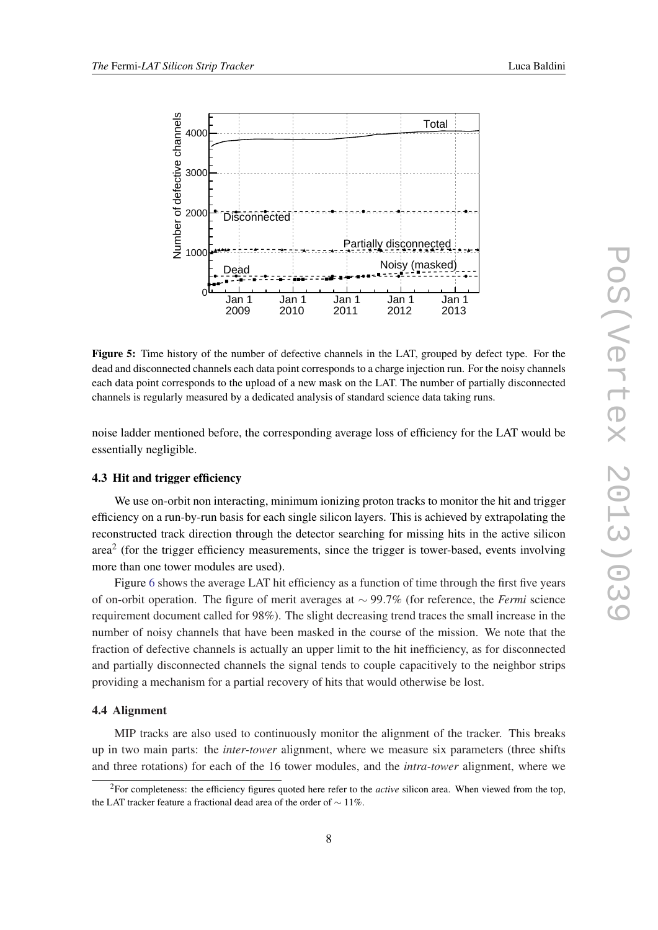<span id="page-7-0"></span>

Figure 5: Time history of the number of defective channels in the LAT, grouped by defect type. For the dead and disconnected channels each data point corresponds to a charge injection run. For the noisy channels each data point corresponds to the upload of a new mask on the LAT. The number of partially disconnected channels is regularly measured by a dedicated analysis of standard science data taking runs.

noise ladder mentioned before, the corresponding average loss of efficiency for the LAT would be essentially negligible.

#### 4.3 Hit and trigger efficiency

We use on-orbit non interacting, minimum ionizing proton tracks to monitor the hit and trigger efficiency on a run-by-run basis for each single silicon layers. This is achieved by extrapolating the reconstructed track direction through the detector searching for missing hits in the active silicon area<sup>2</sup> (for the trigger efficiency measurements, since the trigger is tower-based, events involving more than one tower modules are used).

Figure [6](#page-8-0) shows the average LAT hit efficiency as a function of time through the first five years of on-orbit operation. The figure of merit averages at ∼ 99.7% (for reference, the *Fermi* science requirement document called for 98%). The slight decreasing trend traces the small increase in the number of noisy channels that have been masked in the course of the mission. We note that the fraction of defective channels is actually an upper limit to the hit inefficiency, as for disconnected and partially disconnected channels the signal tends to couple capacitively to the neighbor strips providing a mechanism for a partial recovery of hits that would otherwise be lost.

#### 4.4 Alignment

MIP tracks are also used to continuously monitor the alignment of the tracker. This breaks up in two main parts: the *inter-tower* alignment, where we measure six parameters (three shifts and three rotations) for each of the 16 tower modules, and the *intra-tower* alignment, where we

<sup>2</sup>For completeness: the efficiency figures quoted here refer to the *active* silicon area. When viewed from the top, the LAT tracker feature a fractional dead area of the order of ∼ 11%.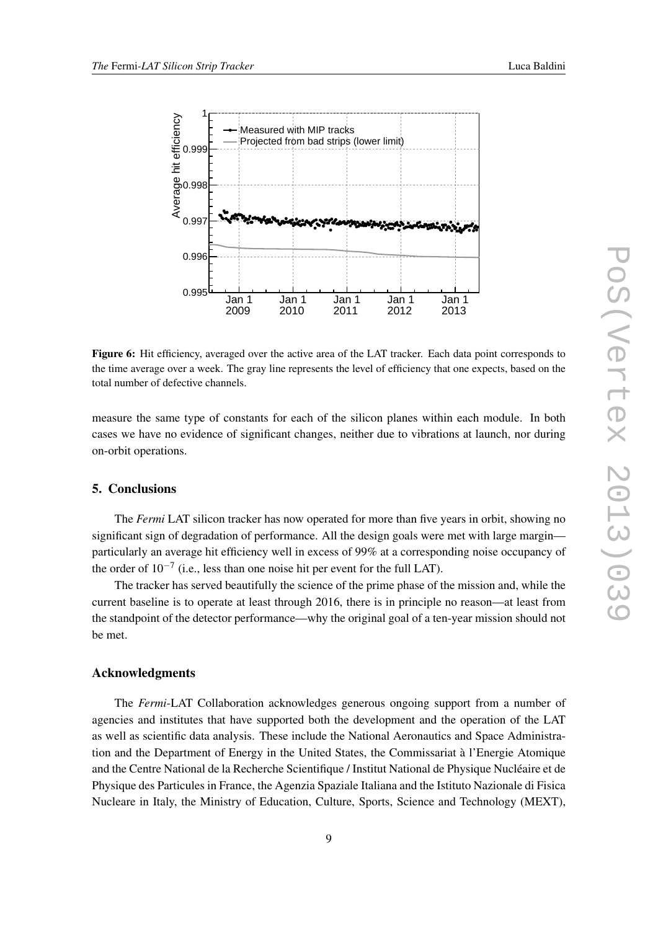<span id="page-8-0"></span>

Figure 6: Hit efficiency, averaged over the active area of the LAT tracker. Each data point corresponds to the time average over a week. The gray line represents the level of efficiency that one expects, based on the total number of defective channels.

measure the same type of constants for each of the silicon planes within each module. In both cases we have no evidence of significant changes, neither due to vibrations at launch, nor during on-orbit operations.

# 5. Conclusions

The *Fermi* LAT silicon tracker has now operated for more than five years in orbit, showing no significant sign of degradation of performance. All the design goals were met with large margin particularly an average hit efficiency well in excess of 99% at a corresponding noise occupancy of the order of  $10^{-7}$  (i.e., less than one noise hit per event for the full LAT).

The tracker has served beautifully the science of the prime phase of the mission and, while the current baseline is to operate at least through 2016, there is in principle no reason—at least from the standpoint of the detector performance—why the original goal of a ten-year mission should not be met.

# Acknowledgments

The *Fermi*-LAT Collaboration acknowledges generous ongoing support from a number of agencies and institutes that have supported both the development and the operation of the LAT as well as scientific data analysis. These include the National Aeronautics and Space Administration and the Department of Energy in the United States, the Commissariat à l'Energie Atomique and the Centre National de la Recherche Scientifique / Institut National de Physique Nucléaire et de Physique des Particules in France, the Agenzia Spaziale Italiana and the Istituto Nazionale di Fisica Nucleare in Italy, the Ministry of Education, Culture, Sports, Science and Technology (MEXT),